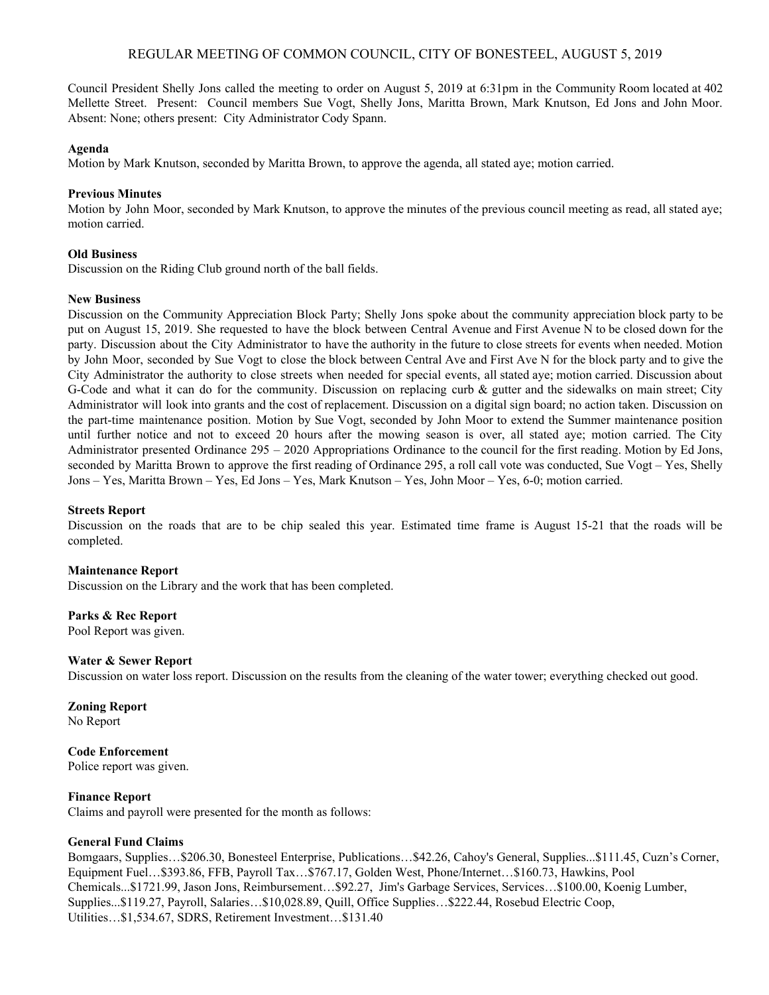# REGULAR MEETING OF COMMON COUNCIL, CITY OF BONESTEEL, AUGUST 5, 2019

Council President Shelly Jons called the meeting to order on August 5, 2019 at 6:31pm in the Community Room located at 402 Mellette Street. Present: Council members Sue Vogt, Shelly Jons, Maritta Brown, Mark Knutson, Ed Jons and John Moor. Absent: None; others present: City Administrator Cody Spann.

### **Agenda**

Motion by Mark Knutson, seconded by Maritta Brown, to approve the agenda, all stated aye; motion carried.

## **Previous Minutes**

Motion by John Moor, seconded by Mark Knutson, to approve the minutes of the previous council meeting as read, all stated aye; motion carried.

## **Old Business**

Discussion on the Riding Club ground north of the ball fields.

## **New Business**

Discussion on the Community Appreciation Block Party; Shelly Jons spoke about the community appreciation block party to be put on August 15, 2019. She requested to have the block between Central Avenue and First Avenue N to be closed down for the party. Discussion about the City Administrator to have the authority in the future to close streets for events when needed. Motion by John Moor, seconded by Sue Vogt to close the block between Central Ave and First Ave N for the block party and to give the City Administrator the authority to close streets when needed for special events, all stated aye; motion carried. Discussion about G-Code and what it can do for the community. Discussion on replacing curb & gutter and the sidewalks on main street; City Administrator will look into grants and the cost of replacement. Discussion on a digital sign board; no action taken. Discussion on the part-time maintenance position. Motion by Sue Vogt, seconded by John Moor to extend the Summer maintenance position until further notice and not to exceed 20 hours after the mowing season is over, all stated aye; motion carried. The City Administrator presented Ordinance 295 – 2020 Appropriations Ordinance to the council for the first reading. Motion by Ed Jons, seconded by Maritta Brown to approve the first reading of Ordinance 295, a roll call vote was conducted, Sue Vogt – Yes, Shelly Jons – Yes, Maritta Brown – Yes, Ed Jons – Yes, Mark Knutson – Yes, John Moor – Yes, 6-0; motion carried.

#### **Streets Report**

Discussion on the roads that are to be chip sealed this year. Estimated time frame is August 15-21 that the roads will be completed.

#### **Maintenance Report**

Discussion on the Library and the work that has been completed.

**Parks & Rec Report** Pool Report was given.

#### **Water & Sewer Report**

Discussion on water loss report. Discussion on the results from the cleaning of the water tower; everything checked out good.

**Zoning Report**

No Report

# **Code Enforcement**

Police report was given.

# **Finance Report**

Claims and payroll were presented for the month as follows:

# **General Fund Claims**

Bomgaars, Supplies…\$206.30, Bonesteel Enterprise, Publications…\$42.26, Cahoy's General, Supplies...\$111.45, Cuzn's Corner, Equipment Fuel…\$393.86, FFB, Payroll Tax…\$767.17, Golden West, Phone/Internet…\$160.73, Hawkins, Pool Chemicals...\$1721.99, Jason Jons, Reimbursement…\$92.27, Jim's Garbage Services, Services…\$100.00, Koenig Lumber, Supplies...\$119.27, Payroll, Salaries…\$10,028.89, Quill, Office Supplies…\$222.44, Rosebud Electric Coop, Utilities…\$1,534.67, SDRS, Retirement Investment…\$131.40